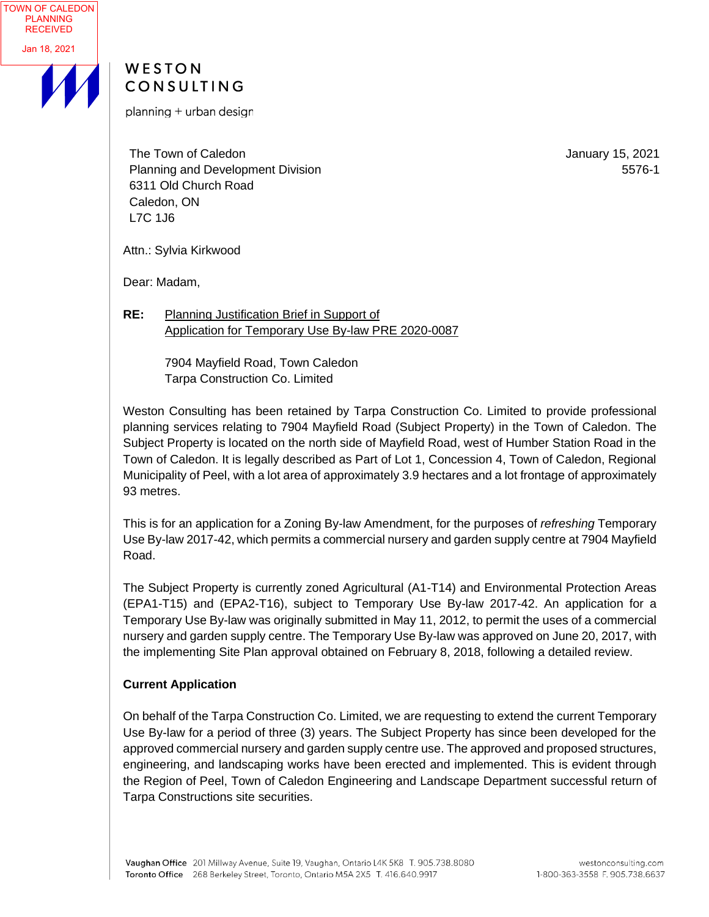



planning + urban design

The Town of Caledon Planning and Development Division 6311 Old Church Road Caledon, ON L7C 1J6

January 15, 2021 5576-1

Attn.: Sylvia Kirkwood

Dear: Madam,

**RE:** Planning Justification Brief in Support of Application for Temporary Use By-law PRE 2020-0087

> 7904 Mayfield Road, Town Caledon Tarpa Construction Co. Limited

Weston Consulting has been retained by Tarpa Construction Co. Limited to provide professional planning services relating to 7904 Mayfield Road (Subject Property) in the Town of Caledon. The Subject Property is located on the north side of Mayfield Road, west of Humber Station Road in the Town of Caledon. It is legally described as Part of Lot 1, Concession 4, Town of Caledon, Regional Municipality of Peel, with a lot area of approximately 3.9 hectares and a lot frontage of approximately 93 metres.

This is for an application for a Zoning By-law Amendment, for the purposes of *refreshing* Temporary Use By-law 2017-42, which permits a commercial nursery and garden supply centre at 7904 Mayfield Road.

The Subject Property is currently zoned Agricultural (A1-T14) and Environmental Protection Areas (EPA1-T15) and (EPA2-T16), subject to Temporary Use By-law 2017-42. An application for a Temporary Use By-law was originally submitted in May 11, 2012, to permit the uses of a commercial nursery and garden supply centre. The Temporary Use By-law was approved on June 20, 2017, with the implementing Site Plan approval obtained on February 8, 2018, following a detailed review.

# **Current Application**

On behalf of the Tarpa Construction Co. Limited, we are requesting to extend the current Temporary Use By-law for a period of three (3) years. The Subject Property has since been developed for the approved commercial nursery and garden supply centre use. The approved and proposed structures, engineering, and landscaping works have been erected and implemented. This is evident through the Region of Peel, Town of Caledon Engineering and Landscape Department successful return of Tarpa Constructions site securities.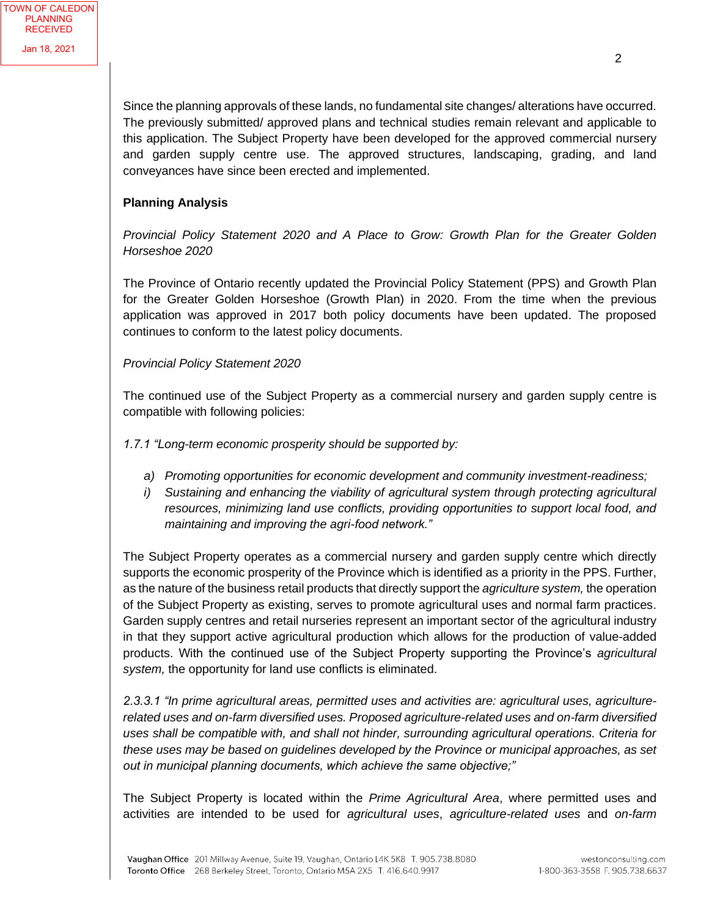Since the planning approvals of these lands, no fundamental site changes/ alterations have occurred. The previously submitted/ approved plans and technical studies remain relevant and applicable to this application. The Subject Property have been developed for the approved commercial nursery and garden supply centre use. The approved structures, landscaping, grading, and land conveyances have since been erected and implemented.

### **Planning Analysis**

*Provincial Policy Statement 2020 and A Place to Grow: Growth Plan for the Greater Golden Horseshoe 2020*

The Province of Ontario recently updated the Provincial Policy Statement (PPS) and Growth Plan for the Greater Golden Horseshoe (Growth Plan) in 2020. From the time when the previous application was approved in 2017 both policy documents have been updated. The proposed continues to conform to the latest policy documents.

### *Provincial Policy Statement 2020*

The continued use of the Subject Property as a commercial nursery and garden supply centre is compatible with following policies:

*1.7.1 "Long-term economic prosperity should be supported by:*

- *a) Promoting opportunities for economic development and community investment-readiness;*
- *i) Sustaining and enhancing the viability of agricultural system through protecting agricultural resources, minimizing land use conflicts, providing opportunities to support local food, and maintaining and improving the agri-food network."*

The Subject Property operates as a commercial nursery and garden supply centre which directly supports the economic prosperity of the Province which is identified as a priority in the PPS. Further, as the nature of the business retail products that directly support the *agriculture system,* the operation of the Subject Property as existing, serves to promote agricultural uses and normal farm practices. Garden supply centres and retail nurseries represent an important sector of the agricultural industry in that they support active agricultural production which allows for the production of value-added products. With the continued use of the Subject Property supporting the Province's *agricultural system,* the opportunity for land use conflicts is eliminated.

*2.3.3.1 "In prime agricultural areas, permitted uses and activities are: agricultural uses, agriculturerelated uses and on-farm diversified uses. Proposed agriculture-related uses and on-farm diversified uses shall be compatible with, and shall not hinder, surrounding agricultural operations. Criteria for these uses may be based on guidelines developed by the Province or municipal approaches, as set out in municipal planning documents, which achieve the same objective;"*

The Subject Property is located within the *Prime Agricultural Area*, where permitted uses and activities are intended to be used for *agricultural uses*, *agriculture-related uses* and *on-farm*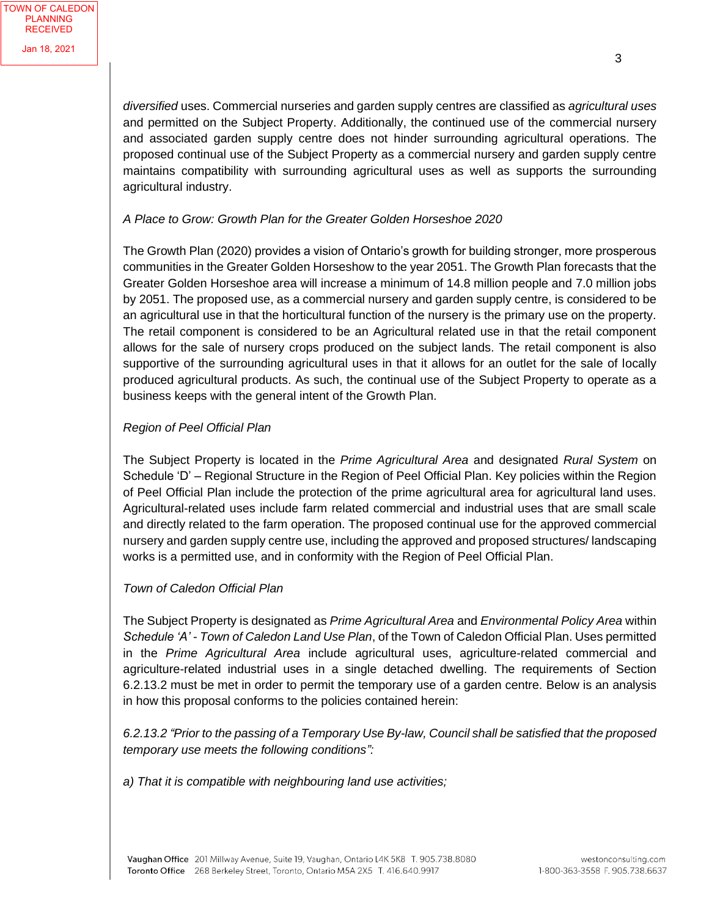*diversified* uses. Commercial nurseries and garden supply centres are classified as *agricultural uses* and permitted on the Subject Property. Additionally, the continued use of the commercial nursery and associated garden supply centre does not hinder surrounding agricultural operations. The proposed continual use of the Subject Property as a commercial nursery and garden supply centre maintains compatibility with surrounding agricultural uses as well as supports the surrounding agricultural industry.

### *A Place to Grow: Growth Plan for the Greater Golden Horseshoe 2020*

The Growth Plan (2020) provides a vision of Ontario's growth for building stronger, more prosperous communities in the Greater Golden Horseshow to the year 2051. The Growth Plan forecasts that the Greater Golden Horseshoe area will increase a minimum of 14.8 million people and 7.0 million jobs by 2051. The proposed use, as a commercial nursery and garden supply centre, is considered to be an agricultural use in that the horticultural function of the nursery is the primary use on the property. The retail component is considered to be an Agricultural related use in that the retail component allows for the sale of nursery crops produced on the subject lands. The retail component is also supportive of the surrounding agricultural uses in that it allows for an outlet for the sale of locally produced agricultural products. As such, the continual use of the Subject Property to operate as a business keeps with the general intent of the Growth Plan.

#### *Region of Peel Official Plan*

The Subject Property is located in the *Prime Agricultural Area* and designated *Rural System* on Schedule 'D' – Regional Structure in the Region of Peel Official Plan. Key policies within the Region of Peel Official Plan include the protection of the prime agricultural area for agricultural land uses. Agricultural-related uses include farm related commercial and industrial uses that are small scale and directly related to the farm operation. The proposed continual use for the approved commercial nursery and garden supply centre use, including the approved and proposed structures/ landscaping works is a permitted use, and in conformity with the Region of Peel Official Plan.

### *Town of Caledon Official Plan*

The Subject Property is designated as *Prime Agricultural Area* and *Environmental Policy Area* within *Schedule 'A' - Town of Caledon Land Use Plan*, of the Town of Caledon Official Plan. Uses permitted in the *Prime Agricultural Area* include agricultural uses, agriculture-related commercial and agriculture-related industrial uses in a single detached dwelling. The requirements of Section 6.2.13.2 must be met in order to permit the temporary use of a garden centre. Below is an analysis in how this proposal conforms to the policies contained herein:

*6.2.13.2 "Prior to the passing of a Temporary Use By-law, Council shall be satisfied that the proposed temporary use meets the following conditions":*

*a) That it is compatible with neighbouring land use activities;*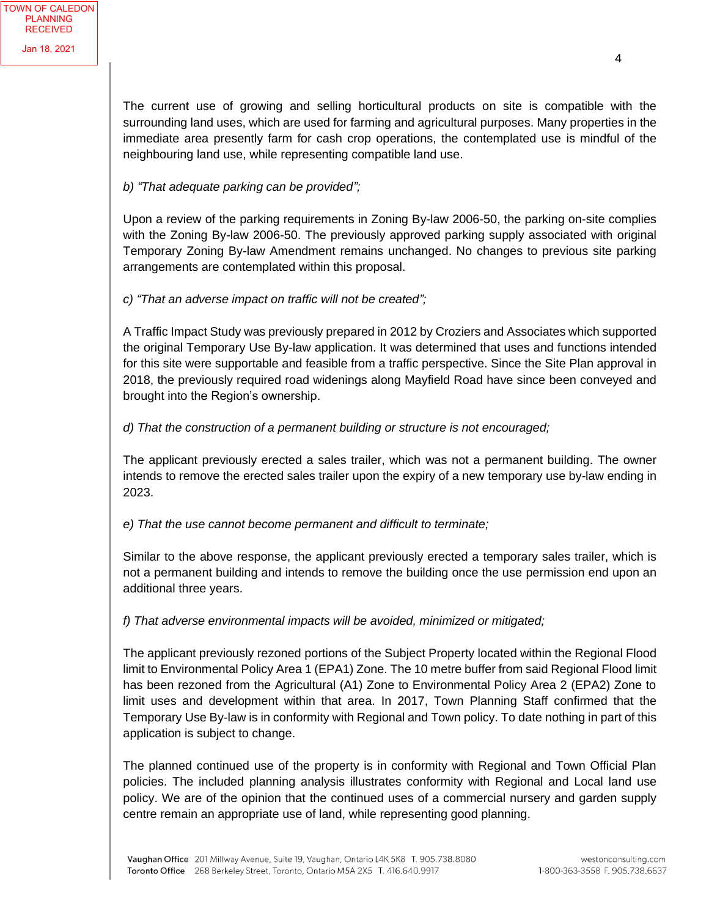The current use of growing and selling horticultural products on site is compatible with the surrounding land uses, which are used for farming and agricultural purposes. Many properties in the immediate area presently farm for cash crop operations, the contemplated use is mindful of the neighbouring land use, while representing compatible land use.

## *b) "That adequate parking can be provided";*

Upon a review of the parking requirements in Zoning By-law 2006-50, the parking on-site complies with the Zoning By-law 2006-50. The previously approved parking supply associated with original Temporary Zoning By-law Amendment remains unchanged. No changes to previous site parking arrangements are contemplated within this proposal.

### *c) "That an adverse impact on traffic will not be created";*

A Traffic Impact Study was previously prepared in 2012 by Croziers and Associates which supported the original Temporary Use By-law application. It was determined that uses and functions intended for this site were supportable and feasible from a traffic perspective. Since the Site Plan approval in 2018, the previously required road widenings along Mayfield Road have since been conveyed and brought into the Region's ownership.

### *d) That the construction of a permanent building or structure is not encouraged;*

The applicant previously erected a sales trailer, which was not a permanent building. The owner intends to remove the erected sales trailer upon the expiry of a new temporary use by-law ending in 2023.

### *e) That the use cannot become permanent and difficult to terminate;*

Similar to the above response, the applicant previously erected a temporary sales trailer, which is not a permanent building and intends to remove the building once the use permission end upon an additional three years.

### *f) That adverse environmental impacts will be avoided, minimized or mitigated;*

The applicant previously rezoned portions of the Subject Property located within the Regional Flood limit to Environmental Policy Area 1 (EPA1) Zone. The 10 metre buffer from said Regional Flood limit has been rezoned from the Agricultural (A1) Zone to Environmental Policy Area 2 (EPA2) Zone to limit uses and development within that area. In 2017, Town Planning Staff confirmed that the Temporary Use By-law is in conformity with Regional and Town policy. To date nothing in part of this application is subject to change.

The planned continued use of the property is in conformity with Regional and Town Official Plan policies. The included planning analysis illustrates conformity with Regional and Local land use policy. We are of the opinion that the continued uses of a commercial nursery and garden supply centre remain an appropriate use of land, while representing good planning.